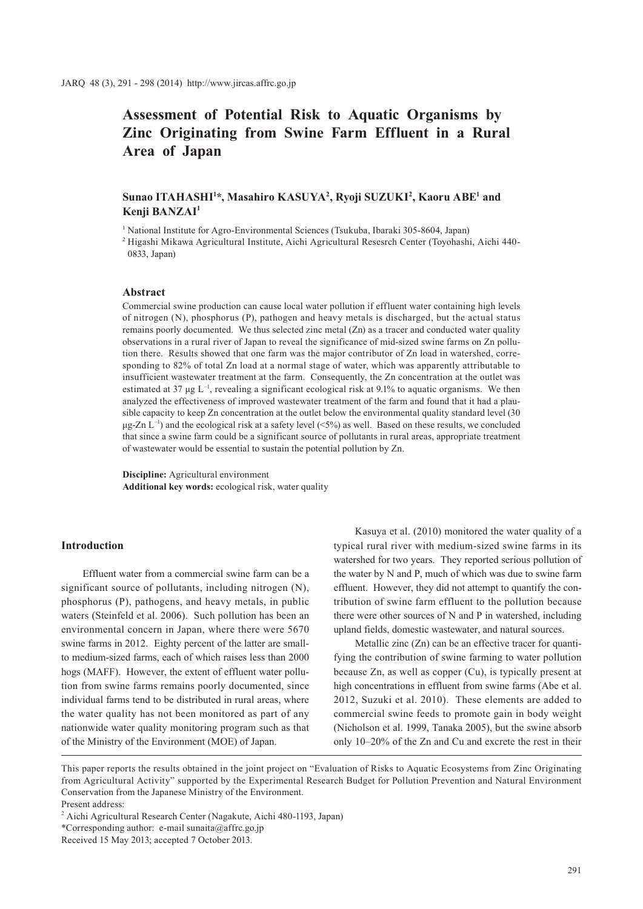# **Assessment of Potential Risk to Aquatic Organisms by Zinc Originating from Swine Farm Effluent in a Rural Area of Japan**

# $\boldsymbol{\mathrm{Sunao}}$  ITAHASHI<sup>1</sup>\*, Masahiro KASUYA<sup>2</sup>, Ryoji SUZUKI<sup>2</sup>, Kaoru ABE<sup>1</sup> and **Kenji BANZAI1**

<sup>1</sup> National Institute for Agro-Environmental Sciences (Tsukuba, Ibaraki 305-8604, Japan)

2 Higashi Mikawa Agricultural Institute, Aichi Agricultural Resesrch Center (Toyohashi, Aichi 440- 0833, Japan)

## **Abstract**

Commercial swine production can cause local water pollution if effluent water containing high levels of nitrogen (N), phosphorus (P), pathogen and heavy metals is discharged, but the actual status remains poorly documented. We thus selected zinc metal (Zn) as a tracer and conducted water quality observations in a rural river of Japan to reveal the significance of mid-sized swine farms on Zn pollution there. Results showed that one farm was the major contributor of Zn load in watershed, corresponding to 82% of total Zn load at a normal stage of water, which was apparently attributable to insufficient wastewater treatment at the farm. Consequently, the Zn concentration at the outlet was estimated at 37  $\mu$ g L<sup>-1</sup>, revealing a significant ecological risk at 9.1% to aquatic organisms. We then analyzed the effectiveness of improved wastewater treatment of the farm and found that it had a plausible capacity to keep Zn concentration at the outlet below the environmental quality standard level (30  $\mu$ g-Zn L<sup>-1</sup>) and the ecological risk at a safety level (<5%) as well. Based on these results, we concluded that since a swine farm could be a significant source of pollutants in rural areas, appropriate treatment of wastewater would be essential to sustain the potential pollution by Zn.

**Discipline:** Agricultural environment **Additional key words:** ecological risk, water quality

#### **Introduction**

Effluent water from a commercial swine farm can be a significant source of pollutants, including nitrogen (N), phosphorus (P), pathogens, and heavy metals, in public waters (Steinfeld et al. 2006). Such pollution has been an environmental concern in Japan, where there were 5670 swine farms in 2012. Eighty percent of the latter are smallto medium-sized farms, each of which raises less than 2000 hogs (MAFF). However, the extent of effluent water pollution from swine farms remains poorly documented, since individual farms tend to be distributed in rural areas, where the water quality has not been monitored as part of any nationwide water quality monitoring program such as that of the Ministry of the Environment (MOE) of Japan.

Kasuya et al. (2010) monitored the water quality of a typical rural river with medium-sized swine farms in its watershed for two years. They reported serious pollution of the water by N and P, much of which was due to swine farm effluent. However, they did not attempt to quantify the contribution of swine farm effluent to the pollution because there were other sources of N and P in watershed, including upland fields, domestic wastewater, and natural sources.

Metallic zinc (Zn) can be an effective tracer for quantifying the contribution of swine farming to water pollution because Zn, as well as copper (Cu), is typically present at high concentrations in effluent from swine farms (Abe et al. 2012, Suzuki et al. 2010). These elements are added to commercial swine feeds to promote gain in body weight (Nicholson et al. 1999, Tanaka 2005), but the swine absorb only 10–20% of the Zn and Cu and excrete the rest in their

This paper reports the results obtained in the joint project on "Evaluation of Risks to Aquatic Ecosystems from Zinc Originating from Agricultural Activity" supported by the Experimental Research Budget for Pollution Prevention and Natural Environment Conservation from the Japanese Ministry of the Environment.

Present address:

<sup>2</sup> Aichi Agricultural Research Center (Nagakute, Aichi 480-1193, Japan)

<sup>\*</sup>Corresponding author: e-mail sunaita@affrc.go.jp

Received 15 May 2013; accepted 7 October 2013.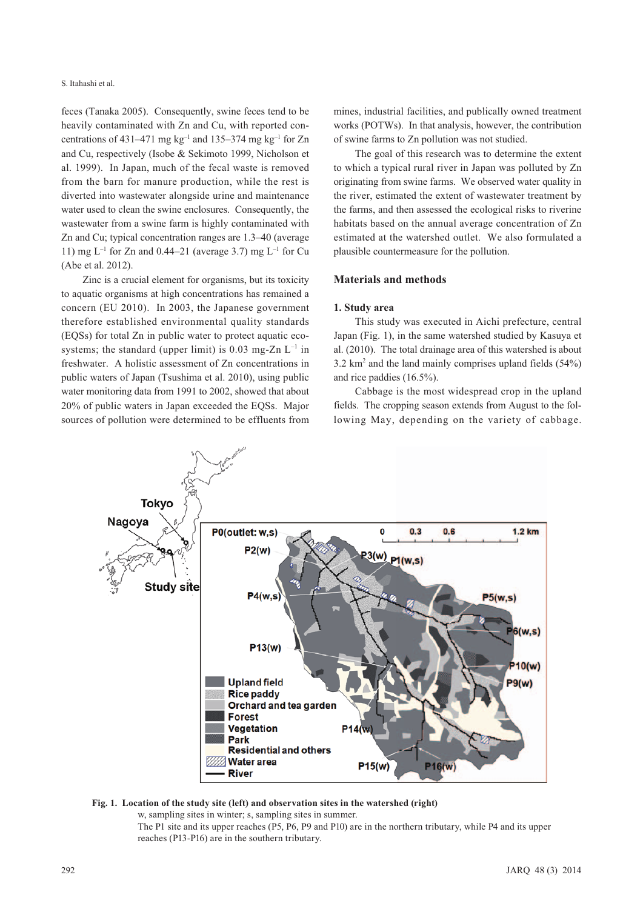#### S. Itahashi et al.

feces (Tanaka 2005). Consequently, swine feces tend to be heavily contaminated with Zn and Cu, with reported concentrations of 431–471 mg kg<sup>-1</sup> and 135–374 mg kg<sup>-1</sup> for Zn and Cu, respectively (Isobe & Sekimoto 1999, Nicholson et al. 1999). In Japan, much of the fecal waste is removed from the barn for manure production, while the rest is diverted into wastewater alongside urine and maintenance water used to clean the swine enclosures. Consequently, the wastewater from a swine farm is highly contaminated with Zn and Cu; typical concentration ranges are 1.3–40 (average 11) mg  $L^{-1}$  for Zn and 0.44–21 (average 3.7) mg  $L^{-1}$  for Cu (Abe et al. 2012).

Zinc is a crucial element for organisms, but its toxicity to aquatic organisms at high concentrations has remained a concern (EU 2010). In 2003, the Japanese government therefore established environmental quality standards (EQSs) for total Zn in public water to protect aquatic ecosystems; the standard (upper limit) is 0.03 mg-Zn  $L^{-1}$  in freshwater. A holistic assessment of Zn concentrations in public waters of Japan (Tsushima et al. 2010), using public water monitoring data from 1991 to 2002, showed that about 20% of public waters in Japan exceeded the EQSs. Major sources of pollution were determined to be effluents from

mines, industrial facilities, and publically owned treatment works (POTWs). In that analysis, however, the contribution of swine farms to Zn pollution was not studied.

The goal of this research was to determine the extent to which a typical rural river in Japan was polluted by Zn originating from swine farms. We observed water quality in the river, estimated the extent of wastewater treatment by the farms, and then assessed the ecological risks to riverine habitats based on the annual average concentration of Zn estimated at the watershed outlet. We also formulated a plausible countermeasure for the pollution.

## **Materials and methods**

## **1. Study area**

This study was executed in Aichi prefecture, central Japan (Fig. 1), in the same watershed studied by Kasuya et al. (2010). The total drainage area of this watershed is about  $3.2 \text{ km}^2$  and the land mainly comprises upland fields  $(54\%)$ and rice paddies (16.5%).

Cabbage is the most widespread crop in the upland fields. The cropping season extends from August to the following May, depending on the variety of cabbage.



#### **Fig. 1. Location of the study site (left) and observation sites in the watershed (right)**

w, sampling sites in winter; s, sampling sites in summer.

The P1 site and its upper reaches (P5, P6, P9 and P10) are in the northern tributary, while P4 and its upper reaches (P13-P16) are in the southern tributary.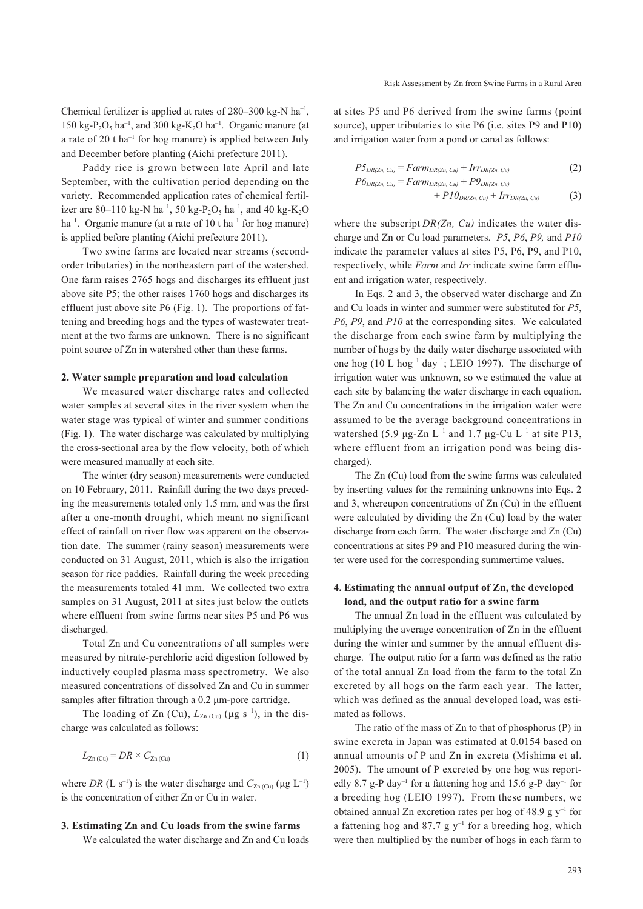Chemical fertilizer is applied at rates of  $280-300$  kg-N ha<sup>-1</sup>, 150 kg-P<sub>2</sub>O<sub>5</sub> ha<sup>-1</sup>, and 300 kg-K<sub>2</sub>O ha<sup>-1</sup>. Organic manure (at a rate of 20 t ha<sup>-1</sup> for hog manure) is applied between July and December before planting (Aichi prefecture 2011).

Paddy rice is grown between late April and late September, with the cultivation period depending on the variety. Recommended application rates of chemical fertilizer are 80-110 kg-N ha<sup>-1</sup>, 50 kg-P<sub>2</sub>O<sub>5</sub> ha<sup>-1</sup>, and 40 kg-K<sub>2</sub>O ha<sup>-1</sup>. Organic manure (at a rate of 10 t ha<sup>-1</sup> for hog manure) is applied before planting (Aichi prefecture 2011).

Two swine farms are located near streams (secondorder tributaries) in the northeastern part of the watershed. One farm raises 2765 hogs and discharges its effluent just above site P5; the other raises 1760 hogs and discharges its effluent just above site P6 (Fig. 1). The proportions of fattening and breeding hogs and the types of wastewater treatment at the two farms are unknown. There is no significant point source of Zn in watershed other than these farms.

#### **2. Water sample preparation and load calculation**

We measured water discharge rates and collected water samples at several sites in the river system when the water stage was typical of winter and summer conditions (Fig. 1). The water discharge was calculated by multiplying the cross-sectional area by the flow velocity, both of which were measured manually at each site.

The winter (dry season) measurements were conducted on 10 February, 2011. Rainfall during the two days preceding the measurements totaled only 1.5 mm, and was the first after a one-month drought, which meant no significant effect of rainfall on river flow was apparent on the observation date. The summer (rainy season) measurements were conducted on 31 August, 2011, which is also the irrigation season for rice paddies. Rainfall during the week preceding the measurements totaled 41 mm. We collected two extra samples on 31 August, 2011 at sites just below the outlets where effluent from swine farms near sites P5 and P6 was discharged.

Total Zn and Cu concentrations of all samples were measured by nitrate-perchloric acid digestion followed by inductively coupled plasma mass spectrometry. We also measured concentrations of dissolved Zn and Cu in summer samples after filtration through a 0.2 μm-pore cartridge.

The loading of Zn (Cu),  $L_{Zn(Cu)}$  (µg s<sup>-1</sup>), in the discharge was calculated as follows:

$$
L_{\text{Zn (Cu)}} = DR \times C_{\text{Zn (Cu)}} \tag{1}
$$

where *DR* (L s<sup>-1</sup>) is the water discharge and  $C_{Zn(Cu)}(\mu g L^{-1})$ is the concentration of either Zn or Cu in water.

#### **3. Estimating Zn and Cu loads from the swine farms**

We calculated the water discharge and Zn and Cu loads

at sites P5 and P6 derived from the swine farms (point source), upper tributaries to site P6 (i.e. sites P9 and P10) and irrigation water from a pond or canal as follows:

$$
P5_{DR(Zn, Cu)} = Farm_{DR(Zn, Cu)} + Irr_{DR(Zn, Cu)}
$$
 (2)

$$
P6_{DR(Zn, Cu)} = Farm_{DR(Zn, Cu)} + PQ_{DR(Zn, Cu)} + \frac{1}{2}H_{DR(Zn, Cu)} + \frac{1}{2}H_{DR(Zn, Cu)} + \frac{1}{2}H_{DR(Zn, Cu)} \tag{3}
$$

where the subscript *DR(Zn, Cu)* indicates the water discharge and Zn or Cu load parameters. *P5*, *P6*, *P9,* and *P10* indicate the parameter values at sites P5, P6, P9, and P10, respectively, while *Farm* and *Irr* indicate swine farm effluent and irrigation water, respectively.

In Eqs. 2 and 3, the observed water discharge and Zn and Cu loads in winter and summer were substituted for *P5*, *P6*, *P9*, and *P10* at the corresponding sites. We calculated the discharge from each swine farm by multiplying the number of hogs by the daily water discharge associated with one hog (10 L hog<sup>-1</sup> day<sup>-1</sup>; LEIO 1997). The discharge of irrigation water was unknown, so we estimated the value at each site by balancing the water discharge in each equation. The Zn and Cu concentrations in the irrigation water were assumed to be the average background concentrations in watershed (5.9 μg-Zn  $L^{-1}$  and 1.7 μg-Cu  $L^{-1}$  at site P13, where effluent from an irrigation pond was being discharged).

The Zn (Cu) load from the swine farms was calculated by inserting values for the remaining unknowns into Eqs. 2 and 3, whereupon concentrations of Zn (Cu) in the effluent were calculated by dividing the Zn (Cu) load by the water discharge from each farm. The water discharge and Zn (Cu) concentrations at sites P9 and P10 measured during the winter were used for the corresponding summertime values.

## **4. Estimating the annual output of Zn, the developed load, and the output ratio for a swine farm**

The annual Zn load in the effluent was calculated by multiplying the average concentration of Zn in the effluent during the winter and summer by the annual effluent discharge. The output ratio for a farm was defined as the ratio of the total annual Zn load from the farm to the total Zn excreted by all hogs on the farm each year. The latter, which was defined as the annual developed load, was estimated as follows.

The ratio of the mass of Zn to that of phosphorus (P) in swine excreta in Japan was estimated at 0.0154 based on annual amounts of P and Zn in excreta (Mishima et al. 2005). The amount of P excreted by one hog was reportedly 8.7 g-P day<sup>-1</sup> for a fattening hog and 15.6 g-P day<sup>-1</sup> for a breeding hog (LEIO 1997). From these numbers, we obtained annual Zn excretion rates per hog of 48.9 g  $y^{-1}$  for a fattening hog and 87.7 g  $y^{-1}$  for a breeding hog, which were then multiplied by the number of hogs in each farm to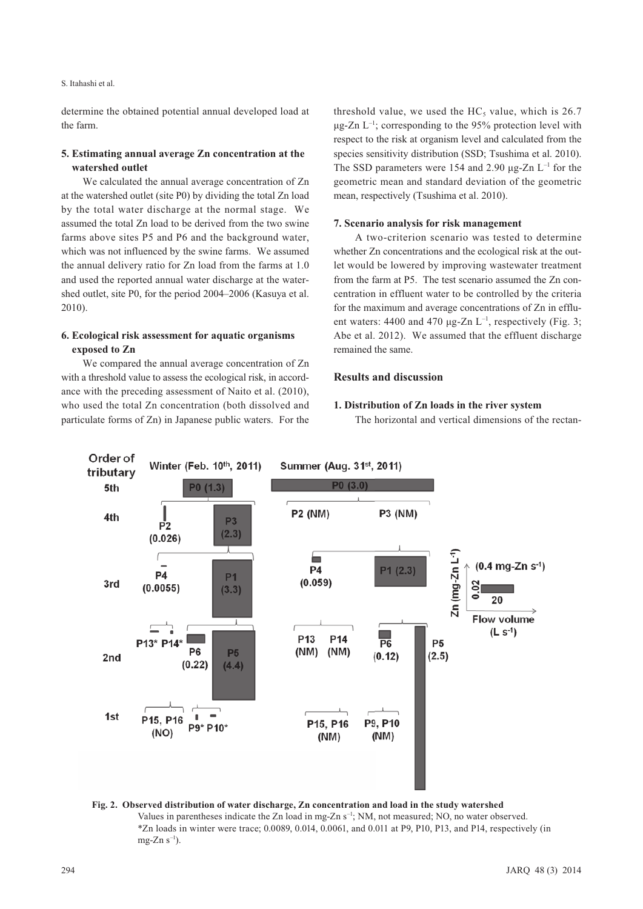S. Itahashi et al.

determine the obtained potential annual developed load at the farm.

## **5. Estimating annual average Zn concentration at the watershed outlet**

We calculated the annual average concentration of Zn at the watershed outlet (site P0) by dividing the total Zn load by the total water discharge at the normal stage. We assumed the total Zn load to be derived from the two swine farms above sites P5 and P6 and the background water, which was not influenced by the swine farms. We assumed the annual delivery ratio for Zn load from the farms at 1.0 and used the reported annual water discharge at the watershed outlet, site P0, for the period 2004–2006 (Kasuya et al. 2010).

# **6. Ecological risk assessment for aquatic organisms exposed to Zn**

We compared the annual average concentration of Zn with a threshold value to assess the ecological risk, in accordance with the preceding assessment of Naito et al. (2010), who used the total Zn concentration (both dissolved and particulate forms of Zn) in Japanese public waters. For the

threshold value, we used the  $HC<sub>5</sub>$  value, which is 26.7  $\mu$ g-Zn L<sup>-1</sup>; corresponding to the 95% protection level with respect to the risk at organism level and calculated from the species sensitivity distribution (SSD; Tsushima et al. 2010). The SSD parameters were 154 and 2.90  $\mu$ g-Zn L<sup>-1</sup> for the geometric mean and standard deviation of the geometric mean, respectively (Tsushima et al. 2010).

## **7. Scenario analysis for risk management**

A two-criterion scenario was tested to determine whether Zn concentrations and the ecological risk at the outlet would be lowered by improving wastewater treatment from the farm at P5. The test scenario assumed the Zn concentration in effluent water to be controlled by the criteria for the maximum and average concentrations of Zn in effluent waters: 4400 and 470  $\mu$ g-Zn L<sup>-1</sup>, respectively (Fig. 3; Abe et al. 2012). We assumed that the effluent discharge remained the same.

## **Results and discussion**

## **1. Distribution of Zn loads in the river system**

The horizontal and vertical dimensions of the rectan-



**Fig. 2. Observed distribution of water discharge, Zn concentration and load in the study watershed**  Values in parentheses indicate the Zn load in mg-Zn s<sup>-1</sup>; NM, not measured; NO, no water observed. \*Zn loads in winter were trace; 0.0089, 0.014, 0.0061, and 0.011 at P9, P10, P13, and P14, respectively (in mg-Zn  $s^{-1}$ ).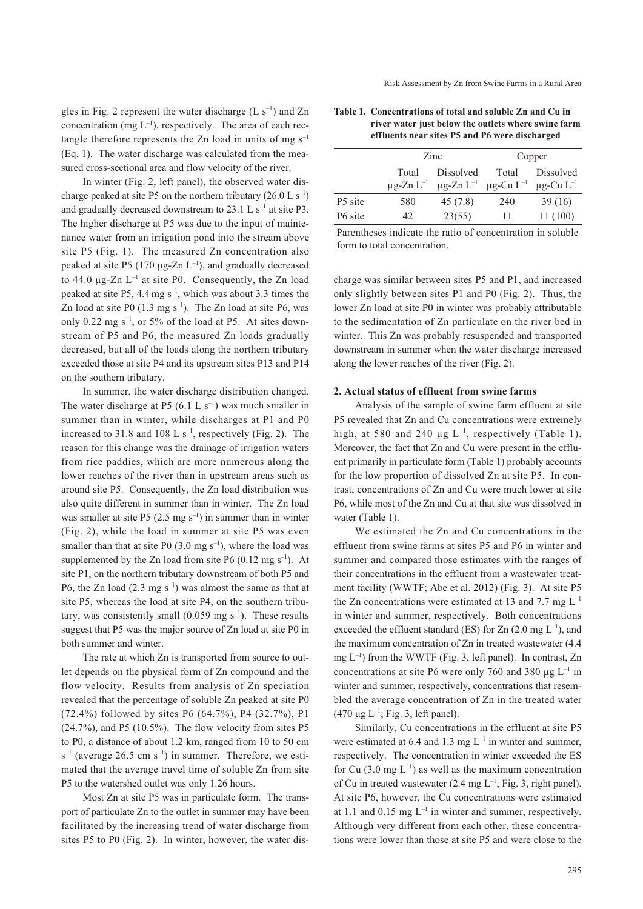gles in Fig. 2 represent the water discharge  $(L \, s^{-1})$  and Zn concentration (mg  $L^{-1}$ ), respectively. The area of each rectangle therefore represents the Zn load in units of mg  $s^{-1}$ (Eq. 1). The water discharge was calculated from the measured cross-sectional area and flow velocity of the river.

In winter (Fig. 2, left panel), the observed water discharge peaked at site P5 on the northern tributary  $(26.0 \, \text{L s}^{-1})$ and gradually decreased downstream to  $23.1 \, \text{L s}^{-1}$  at site P3. The higher discharge at P5 was due to the input of maintenance water from an irrigation pond into the stream above site P5 (Fig. 1). The measured Zn concentration also peaked at site P5 (170  $\mu$ g-Zn L<sup>-1</sup>), and gradually decreased to 44.0 μg-Zn  $L^{-1}$  at site P0. Consequently, the Zn load peaked at site P5, 4.4 mg  $s^{-1}$ , which was about 3.3 times the Zn load at site P0  $(1.3 \text{ mg s}^{-1})$ . The Zn load at site P6, was only 0.22 mg  $s^{-1}$ , or 5% of the load at P5. At sites downstream of P5 and P6, the measured Zn loads gradually decreased, but all of the loads along the northern tributary exceeded those at site P4 and its upstream sites P13 and P14 on the southern tributary.

In summer, the water discharge distribution changed. The water discharge at P5  $(6.1 \text{ L s}^{-1})$  was much smaller in summer than in winter, while discharges at P1 and P0 increased to 31.8 and 108 L  $s^{-1}$ , respectively (Fig. 2). The reason for this change was the drainage of irrigation waters from rice paddies, which are more numerous along the lower reaches of the river than in upstream areas such as around site P5. Consequently, the Zn load distribution was also quite different in summer than in winter. The Zn load was smaller at site P5 (2.5 mg  $s^{-1}$ ) in summer than in winter (Fig. 2), while the load in summer at site P5 was even smaller than that at site P0  $(3.0 \text{ mg s}^{-1})$ , where the load was supplemented by the Zn load from site P6 (0.12 mg s<sup>-1</sup>). At site P1, on the northern tributary downstream of both P5 and P6, the Zn load  $(2.3 \text{ mg s}^{-1})$  was almost the same as that at site P5, whereas the load at site P4, on the southern tributary, was consistently small  $(0.059 \text{ mg s}^{-1})$ . These results suggest that P5 was the major source of Zn load at site P0 in both summer and winter.

The rate at which Zn is transported from source to outlet depends on the physical form of Zn compound and the flow velocity. Results from analysis of Zn speciation revealed that the percentage of soluble Zn peaked at site P0 (72.4%) followed by sites P6 (64.7%), P4 (32.7%), P1  $(24.7\%)$ , and P5  $(10.5\%)$ . The flow velocity from sites P5 to P0, a distance of about 1.2 km, ranged from 10 to 50 cm  $s^{-1}$  (average 26.5 cm  $s^{-1}$ ) in summer. Therefore, we estimated that the average travel time of soluble Zn from site P5 to the watershed outlet was only 1.26 hours.

Most Zn at site P5 was in particulate form. The transport of particulate Zn to the outlet in summer may have been facilitated by the increasing trend of water discharge from sites P5 to P0 (Fig. 2). In winter, however, the water dis-

| Table 1. Concentrations of total and soluble Zn and Cu in |
|-----------------------------------------------------------|
| river water just below the outlets where swine farm       |
| effluents near sites P5 and P6 were discharged            |

|                     | Zinc  |                                                                                                             | Copper |           |  |
|---------------------|-------|-------------------------------------------------------------------------------------------------------------|--------|-----------|--|
|                     | Total | Dissolved                                                                                                   | Total  | Dissolved |  |
|                     |       | $\mu$ g-Zn L <sup>-1</sup> $\mu$ g-Zn L <sup>-1</sup> $\mu$ g-Cu L <sup>-1</sup> $\mu$ g-Cu L <sup>-1</sup> |        |           |  |
| P5 site             | 580   | 45(7.8)                                                                                                     | 240    | 39(16)    |  |
| P <sub>6</sub> site | 42    | 23(55)                                                                                                      | 11     | 11(100)   |  |

Parentheses indicate the ratio of concentration in soluble form to total concentration.

charge was similar between sites P5 and P1, and increased only slightly between sites P1 and P0 (Fig. 2). Thus, the lower Zn load at site P0 in winter was probably attributable to the sedimentation of Zn particulate on the river bed in winter. This Zn was probably resuspended and transported downstream in summer when the water discharge increased along the lower reaches of the river (Fig. 2).

#### **2. Actual status of effluent from swine farms**

Analysis of the sample of swine farm effluent at site P5 revealed that Zn and Cu concentrations were extremely high, at 580 and 240  $\mu$ g L<sup>-1</sup>, respectively (Table 1). Moreover, the fact that Zn and Cu were present in the effluent primarily in particulate form (Table 1) probably accounts for the low proportion of dissolved Zn at site P5. In contrast, concentrations of Zn and Cu were much lower at site P6, while most of the Zn and Cu at that site was dissolved in water (Table 1).

We estimated the Zn and Cu concentrations in the effluent from swine farms at sites P5 and P6 in winter and summer and compared those estimates with the ranges of their concentrations in the effluent from a wastewater treatment facility (WWTF; Abe et al. 2012) (Fig. 3). At site P5 the Zn concentrations were estimated at 13 and 7.7 mg  $L^{-1}$ in winter and summer, respectively. Both concentrations exceeded the effluent standard (ES) for Zn  $(2.0 \text{ mg } L^{-1})$ , and the maximum concentration of Zn in treated wastewater (4.4  $mg L^{-1}$ ) from the WWTF (Fig. 3, left panel). In contrast, Zn concentrations at site P6 were only 760 and 380 μg  $L^{-1}$  in winter and summer, respectively, concentrations that resembled the average concentration of Zn in the treated water (470  $\mu$ g L<sup>-1</sup>; Fig. 3, left panel).

Similarly, Cu concentrations in the effluent at site P5 were estimated at 6.4 and 1.3 mg  $L^{-1}$  in winter and summer, respectively. The concentration in winter exceeded the ES for Cu (3.0 mg  $L^{-1}$ ) as well as the maximum concentration of Cu in treated wastewater (2.4 mg  $L^{-1}$ ; Fig. 3, right panel). At site P6, however, the Cu concentrations were estimated at 1.1 and 0.15 mg  $L^{-1}$  in winter and summer, respectively. Although very different from each other, these concentrations were lower than those at site P5 and were close to the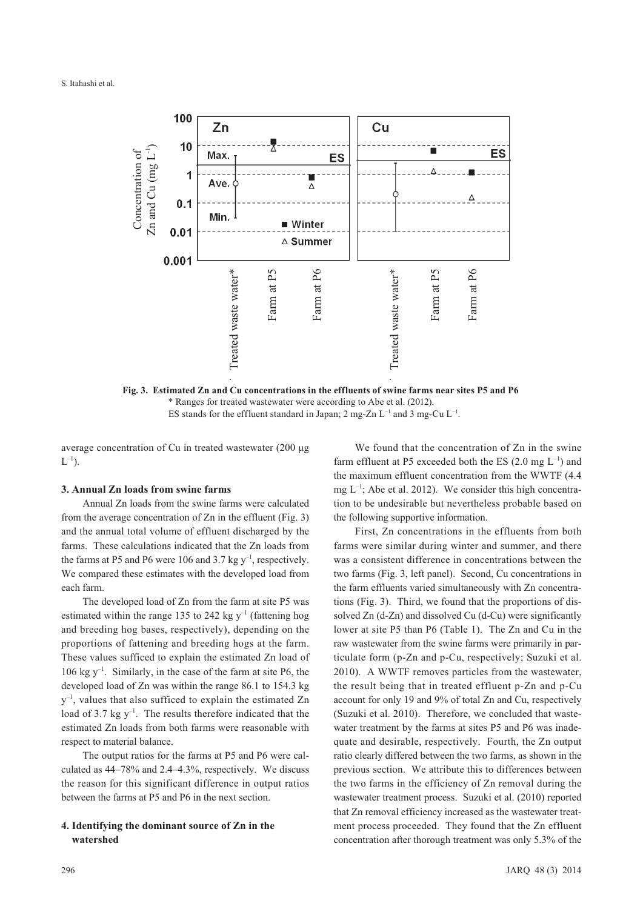

**Fig. 3. Estimated Zn and Cu concentrations in the effluents of swine farms near sites P5 and P6** \* Ranges for treated wastewater were according to Abe et al. (2012). ES stands for the effluent standard in Japan; 2 mg-Zn  $L^{-1}$  and 3 mg-Cu  $L^{-1}$ .

average concentration of Cu in treated wastewater (200 μg  $L^{-1}$ ).

## **3. Annual Zn loads from swine farms**

Annual Zn loads from the swine farms were calculated from the average concentration of Zn in the effluent (Fig. 3) and the annual total volume of effluent discharged by the farms. These calculations indicated that the Zn loads from the farms at P5 and P6 were 106 and 3.7 kg  $y^{-1}$ , respectively. We compared these estimates with the developed load from each farm.

The developed load of Zn from the farm at site P5 was estimated within the range 135 to 242 kg  $y^{-1}$  (fattening hog and breeding hog bases, respectively), depending on the proportions of fattening and breeding hogs at the farm. These values sufficed to explain the estimated Zn load of 106 kg  $y^{-1}$ . Similarly, in the case of the farm at site P6, the developed load of Zn was within the range 86.1 to 154.3 kg  $y^{-1}$ , values that also sufficed to explain the estimated Zn load of 3.7 kg  $y^{-1}$ . The results therefore indicated that the estimated Zn loads from both farms were reasonable with respect to material balance.

The output ratios for the farms at P5 and P6 were calculated as 44–78% and 2.4–4.3%, respectively. We discuss the reason for this significant difference in output ratios between the farms at P5 and P6 in the next section.

# **4. Identifying the dominant source of Zn in the watershed**

We found that the concentration of Zn in the swine farm effluent at P5 exceeded both the ES  $(2.0 \text{ mg } L^{-1})$  and the maximum effluent concentration from the WWTF (4.4 mg  $L^{-1}$ ; Abe et al. 2012). We consider this high concentration to be undesirable but nevertheless probable based on the following supportive information.

First, Zn concentrations in the effluents from both farms were similar during winter and summer, and there was a consistent difference in concentrations between the two farms (Fig. 3, left panel). Second, Cu concentrations in the farm effluents varied simultaneously with Zn concentrations (Fig. 3). Third, we found that the proportions of dissolved Zn (d-Zn) and dissolved Cu (d-Cu) were significantly lower at site P5 than P6 (Table 1). The Zn and Cu in the raw wastewater from the swine farms were primarily in particulate form (p-Zn and p-Cu, respectively; Suzuki et al. 2010). A WWTF removes particles from the wastewater, the result being that in treated effluent p-Zn and p-Cu account for only 19 and 9% of total Zn and Cu, respectively (Suzuki et al. 2010). Therefore, we concluded that wastewater treatment by the farms at sites P5 and P6 was inadequate and desirable, respectively. Fourth, the Zn output ratio clearly differed between the two farms, as shown in the previous section. We attribute this to differences between the two farms in the efficiency of Zn removal during the wastewater treatment process. Suzuki et al. (2010) reported that Zn removal efficiency increased as the wastewater treatment process proceeded. They found that the Zn effluent concentration after thorough treatment was only 5.3% of the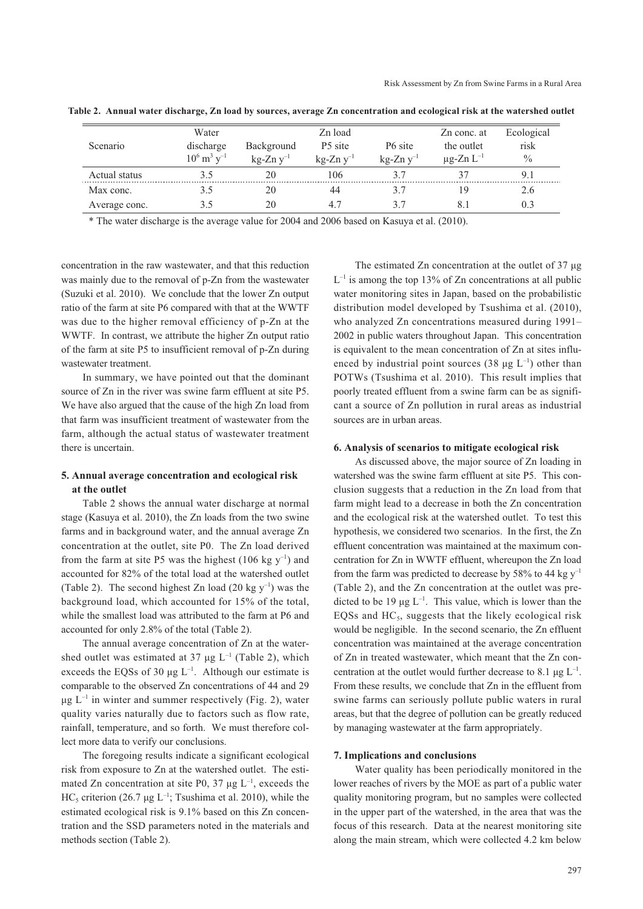|               | Water                                   |                | Zn load             |                     | Zn conc. at                | Ecological    |
|---------------|-----------------------------------------|----------------|---------------------|---------------------|----------------------------|---------------|
| Scenario      | discharge                               | Background     | P <sub>5</sub> site | P <sub>6</sub> site | the outlet                 | risk          |
|               | $10^6 \,\mathrm{m}^3 \,\mathrm{v}^{-1}$ | $kg-Zn v^{-1}$ | $kg-Zn y^{-1}$      | $kg-Zn v^{-1}$      | $\mu$ g-Zn L <sup>-1</sup> | $\frac{0}{0}$ |
| Actual status | 35                                      | 20             | 106                 |                     |                            |               |
| Max conc.     |                                         | 20             | 44                  |                     |                            | 2.6           |
| Average conc. | 35                                      | 20             | 47                  | 37                  |                            | 0.3           |

**Table 2. Annual water discharge, Zn load by sources, average Zn concentration and ecological risk at the watershed outlet**

\* The water discharge is the average value for 2004 and 2006 based on Kasuya et al. (2010).

concentration in the raw wastewater, and that this reduction was mainly due to the removal of p-Zn from the wastewater (Suzuki et al. 2010). We conclude that the lower Zn output ratio of the farm at site P6 compared with that at the WWTF was due to the higher removal efficiency of p-Zn at the WWTF. In contrast, we attribute the higher Zn output ratio of the farm at site P5 to insufficient removal of p-Zn during wastewater treatment.

In summary, we have pointed out that the dominant source of Zn in the river was swine farm effluent at site P5. We have also argued that the cause of the high Zn load from that farm was insufficient treatment of wastewater from the farm, although the actual status of wastewater treatment there is uncertain.

## **5. Annual average concentration and ecological risk at the outlet**

Table 2 shows the annual water discharge at normal stage (Kasuya et al. 2010), the Zn loads from the two swine farms and in background water, and the annual average Zn concentration at the outlet, site P0. The Zn load derived from the farm at site P5 was the highest (106 kg  $y^{-1}$ ) and accounted for 82% of the total load at the watershed outlet (Table 2). The second highest Zn load (20 kg  $y^{-1}$ ) was the background load, which accounted for 15% of the total, while the smallest load was attributed to the farm at P6 and accounted for only 2.8% of the total (Table 2).

The annual average concentration of Zn at the watershed outlet was estimated at 37  $\mu$ g L<sup>-1</sup> (Table 2), which exceeds the EQSs of 30  $\mu$ g L<sup>-1</sup>. Although our estimate is comparable to the observed Zn concentrations of 44 and 29  $\mu$ g L<sup>-1</sup> in winter and summer respectively (Fig. 2), water quality varies naturally due to factors such as flow rate, rainfall, temperature, and so forth. We must therefore collect more data to verify our conclusions.

The foregoing results indicate a significant ecological risk from exposure to Zn at the watershed outlet. The estimated Zn concentration at site P0, 37  $\mu$ g L<sup>-1</sup>, exceeds the HC<sub>5</sub> criterion (26.7 µg L<sup>-1</sup>; Tsushima et al. 2010), while the estimated ecological risk is 9.1% based on this Zn concentration and the SSD parameters noted in the materials and methods section (Table 2).

The estimated Zn concentration at the outlet of 37 μg  $L^{-1}$  is among the top 13% of Zn concentrations at all public water monitoring sites in Japan, based on the probabilistic distribution model developed by Tsushima et al. (2010), who analyzed Zn concentrations measured during 1991– 2002 in public waters throughout Japan. This concentration is equivalent to the mean concentration of Zn at sites influenced by industrial point sources (38  $\mu$ g L<sup>-1</sup>) other than POTWs (Tsushima et al. 2010). This result implies that poorly treated effluent from a swine farm can be as significant a source of Zn pollution in rural areas as industrial sources are in urban areas.

#### **6. Analysis of scenarios to mitigate ecological risk**

As discussed above, the major source of Zn loading in watershed was the swine farm effluent at site P5. This conclusion suggests that a reduction in the Zn load from that farm might lead to a decrease in both the Zn concentration and the ecological risk at the watershed outlet. To test this hypothesis, we considered two scenarios. In the first, the Zn effluent concentration was maintained at the maximum concentration for Zn in WWTF effluent, whereupon the Zn load from the farm was predicted to decrease by 58% to 44 kg  $y^{-1}$ (Table 2), and the Zn concentration at the outlet was predicted to be 19  $\mu$ g L<sup>-1</sup>. This value, which is lower than the EQSs and  $HC<sub>5</sub>$ , suggests that the likely ecological risk would be negligible. In the second scenario, the Zn effluent concentration was maintained at the average concentration of Zn in treated wastewater, which meant that the Zn concentration at the outlet would further decrease to 8.1  $\mu$ g L<sup>-1</sup>. From these results, we conclude that Zn in the effluent from swine farms can seriously pollute public waters in rural areas, but that the degree of pollution can be greatly reduced by managing wastewater at the farm appropriately.

#### **7. Implications and conclusions**

Water quality has been periodically monitored in the lower reaches of rivers by the MOE as part of a public water quality monitoring program, but no samples were collected in the upper part of the watershed, in the area that was the focus of this research. Data at the nearest monitoring site along the main stream, which were collected 4.2 km below